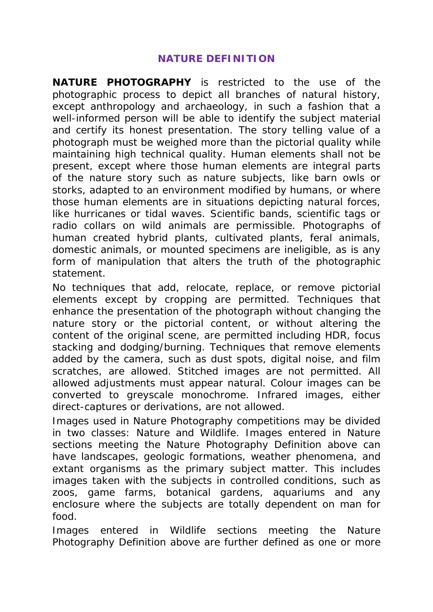## **NATURE DEFINITION**

**NATURE PHOTOGRAPHY** is restricted to the use of the photographic process to depict all branches of natural history, except anthropology and archaeology, in such a fashion that a well-informed person will be able to identify the subject material and certify its honest presentation. The story telling value of a photograph must be weighed more than the pictorial quality while maintaining high technical quality. Human elements shall not be present, except where those human elements are integral parts of the nature story such as nature subjects, like barn owls or storks, adapted to an environment modified by humans, or where those human elements are in situations depicting natural forces, like hurricanes or tidal waves. Scientific bands, scientific tags or radio collars on wild animals are permissible. Photographs of human created hybrid plants, cultivated plants, feral animals, domestic animals, or mounted specimens are ineligible, as is any form of manipulation that alters the truth of the photographic statement.

No techniques that add, relocate, replace, or remove pictorial elements except by cropping are permitted. Techniques that enhance the presentation of the photograph without changing the nature story or the pictorial content, or without altering the content of the original scene, are permitted including HDR, focus stacking and dodging/burning. Techniques that remove elements added by the camera, such as dust spots, digital noise, and film scratches, are allowed. Stitched images are not permitted. All allowed adjustments must appear natural. Colour images can be converted to greyscale monochrome. Infrared images, either direct-captures or derivations, are not allowed.

Images used in Nature Photography competitions may be divided in two classes: Nature and Wildlife. Images entered in Nature sections meeting the Nature Photography Definition above can have landscapes, geologic formations, weather phenomena, and extant organisms as the primary subject matter. This includes images taken with the subjects in controlled conditions, such as zoos, game farms, botanical gardens, aquariums and any enclosure where the subjects are totally dependent on man for food.

Images entered in Wildlife sections meeting the Nature Photography Definition above are further defined as one or more